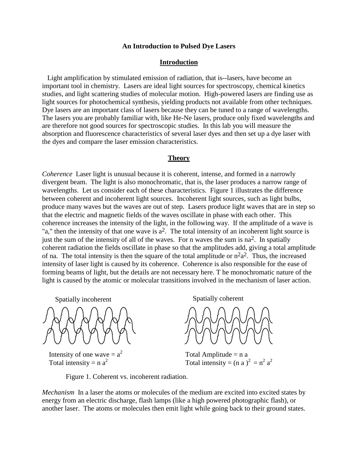### **An Introduction to Pulsed Dye Lasers**

### **Introduction**

 Light amplification by stimulated emission of radiation, that is--lasers, have become an important tool in chemistry. Lasers are ideal light sources for spectroscopy, chemical kinetics studies, and light scattering studies of molecular motion. High-powered lasers are finding use as light sources for photochemical synthesis, yielding products not available from other techniques. Dye lasers are an important class of lasers because they can be tuned to a range of wavelengths. The lasers you are probably familiar with, like He-Ne lasers, produce only fixed wavelengths and are therefore not good sources for spectroscopic studies. In this lab you will measure the absorption and fluorescence characteristics of several laser dyes and then set up a dye laser with the dyes and compare the laser emission characteristics.

#### **Theory**

*Coherence* Laser light is unusual because it is coherent, intense, and formed in a narrowly divergent beam. The light is also monochromatic, that is, the laser produces a narrow range of wavelengths. Let us consider each of these characteristics. Figure 1 illustrates the difference between coherent and incoherent light sources. Incoherent light sources, such as light bulbs, produce many waves but the waves are out of step. Lasers produce light waves that are in step so that the electric and magnetic fields of the waves oscillate in phase with each other. This coherence increases the intensity of the light, in the following way. If the amplitude of a wave is "a," then the intensity of that one wave is  $a^2$ . The total intensity of an incoherent light source is just the sum of the intensity of all of the waves. For n waves the sum is na<sup>2</sup>. In spatially coherent radiation the fields oscillate in phase so that the amplitudes add, giving a total amplitude of na. The total intensity is then the square of the total amplitude or  $n^2a^2$ . Thus, the increased intensity of laser light is caused by its coherence. Coherence is also responsible for the ease of forming beams of light, but the details are not necessary here. T he monochromatic nature of the light is caused by the atomic or molecular transitions involved in the mechanism of laser action.



Intensity of one wave  $= a<sup>2</sup>$ Total intensity =  $n a<sup>2</sup>$ 

Spatially incoherent Spatially coherent



Total Amplitude  $= n a$ Total intensity =  $(n a)^2 = n^2 a^2$ 

Figure 1. Coherent vs. incoherent radiation.

*Mechanism* In a laser the atoms or molecules of the medium are excited into excited states by energy from an electric discharge, flash lamps (like a high powered photographic flash), or another laser. The atoms or molecules then emit light while going back to their ground states.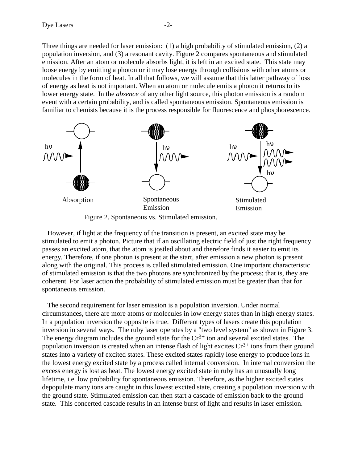Three things are needed for laser emission: (1) a high probability of stimulated emission, (2) a population inversion, and (3) a resonant cavity. Figure 2 compares spontaneous and stimulated emission. After an atom or molecule absorbs light, it is left in an excited state. This state may loose energy by emitting a photon or it may lose energy through collisions with other atoms or molecules in the form of heat. In all that follows, we will assume that this latter pathway of loss of energy as heat is not important. When an atom or molecule emits a photon it returns to its lower energy state. In the *absence* of any other light source, this photon emission is a random event with a certain probability, and is called spontaneous emission. Spontaneous emission is familiar to chemists because it is the process responsible for fluorescence and phosphorescence.



Figure 2. Spontaneous vs. Stimulated emission.

 However, if light at the frequency of the transition is present, an excited state may be stimulated to emit a photon. Picture that if an oscillating electric field of just the right frequency passes an excited atom, that the atom is jostled about and therefore finds it easier to emit its energy. Therefore, if one photon is present at the start, after emission a new photon is present along with the original. This process is called stimulated emission. One important characteristic of stimulated emission is that the two photons are synchronized by the process; that is, they are coherent. For laser action the probability of stimulated emission must be greater than that for spontaneous emission.

 The second requirement for laser emission is a population inversion. Under normal circumstances, there are more atoms or molecules in low energy states than in high energy states. In a population inversion the opposite is true. Different types of lasers create this population inversion in several ways. The ruby laser operates by a "two level system" as shown in Figure 3. The energy diagram includes the ground state for the  $Cr<sup>3+</sup>$  ion and several excited states. The population inversion is created when an intense flash of light excites  $Cr^{3+}$  ions from their ground states into a variety of excited states. These excited states rapidly lose energy to produce ions in the lowest energy excited state by a process called internal conversion. In internal conversion the excess energy is lost as heat. The lowest energy excited state in ruby has an unusually long lifetime, i.e. low probability for spontaneous emission. Therefore, as the higher excited states depopulate many ions are caught in this lowest excited state, creating a population inversion with the ground state. Stimulated emission can then start a cascade of emission back to the ground state. This concerted cascade results in an intense burst of light and results in laser emission.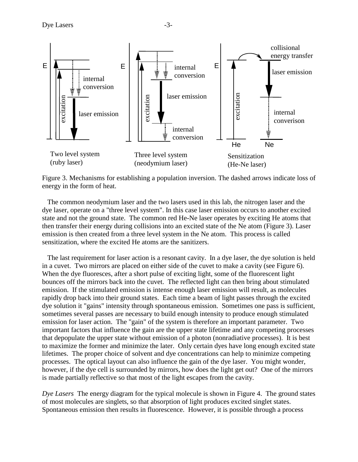

Figure 3. Mechanisms for establishing a population inversion. The dashed arrows indicate loss of energy in the form of heat.

 The common neodymium laser and the two lasers used in this lab, the nitrogen laser and the dye laser, operate on a "three level system". In this case laser emission occurs to another excited state and not the ground state. The common red He-Ne laser operates by exciting He atoms that then transfer their energy during collisions into an excited state of the Ne atom (Figure 3). Laser emission is then created from a three level system in the Ne atom. This process is called sensitization, where the excited He atoms are the sanitizers.

 The last requirement for laser action is a resonant cavity. In a dye laser, the dye solution is held in a cuvet. Two mirrors are placed on either side of the cuvet to make a cavity (see Figure 6). When the dye fluoresces, after a short pulse of exciting light, some of the fluorescent light bounces off the mirrors back into the cuvet. The reflected light can then bring about stimulated emission. If the stimulated emission is intense enough laser emission will result, as molecules rapidly drop back into their ground states. Each time a beam of light passes through the excited dye solution it "gains" intensity through spontaneous emission. Sometimes one pass is sufficient, sometimes several passes are necessary to build enough intensity to produce enough stimulated emission for laser action. The "gain" of the system is therefore an important parameter. Two important factors that influence the gain are the upper state lifetime and any competing processes that depopulate the upper state without emission of a photon (nonradiative processes). It is best to maximize the former and minimize the later. Only certain dyes have long enough excited state lifetimes. The proper choice of solvent and dye concentrations can help to minimize competing processes. The optical layout can also influence the gain of the dye laser. You might wonder, however, if the dye cell is surrounded by mirrors, how does the light get out? One of the mirrors is made partially reflective so that most of the light escapes from the cavity.

*Dye Lasers* The energy diagram for the typical molecule is shown in Figure 4. The ground states of most molecules are singlets, so that absorption of light produces excited singlet states. Spontaneous emission then results in fluorescence. However, it is possible through a process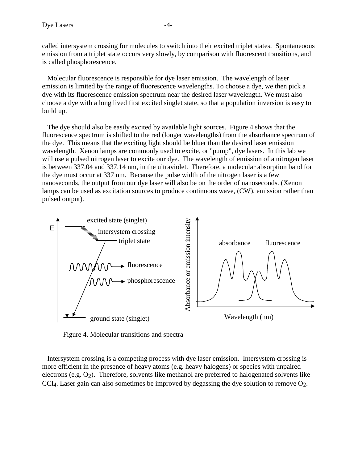called intersystem crossing for molecules to switch into their excited triplet states. Spontaneoous emission from a triplet state occurs very slowly, by comparison with fluorescent transitions, and is called phosphorescence.

 Molecular fluorescence is responsible for dye laser emission. The wavelength of laser emission is limited by the range of fluorescence wavelengths. To choose a dye, we then pick a dye with its fluorescence emission spectrum near the desired laser wavelength. We must also choose a dye with a long lived first excited singlet state, so that a population inversion is easy to build up.

 The dye should also be easily excited by available light sources. Figure 4 shows that the fluorescence spectrum is shifted to the red (longer wavelengths) from the absorbance spectrum of the dye. This means that the exciting light should be bluer than the desired laser emission wavelength. Xenon lamps are commonly used to excite, or "pump", dye lasers. In this lab we will use a pulsed nitrogen laser to excite our dye. The wavelength of emission of a nitrogen laser is between 337.04 and 337.14 nm, in the ultraviolet. Therefore, a molecular absorption band for the dye must occur at 337 nm. Because the pulse width of the nitrogen laser is a few nanoseconds, the output from our dye laser will also be on the order of nanoseconds. (Xenon lamps can be used as excitation sources to produce continuous wave, (CW), emission rather than pulsed output).



Figure 4. Molecular transitions and spectra

 Intersystem crossing is a competing process with dye laser emission. Intersystem crossing is more efficient in the presence of heavy atoms (e.g. heavy halogens) or species with unpaired electrons (e.g.  $O_2$ ). Therefore, solvents like methanol are preferred to halogenated solvents like CCl<sub>4</sub>. Laser gain can also sometimes be improved by degassing the dye solution to remove  $O_2$ .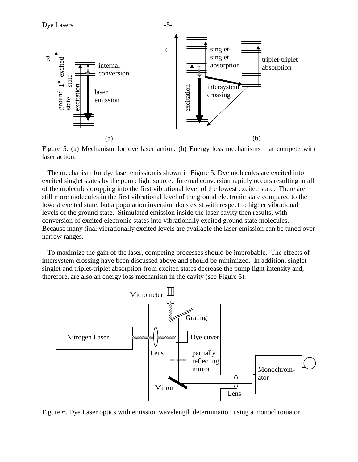

Figure 5. (a) Mechanism for dye laser action. (b) Energy loss mechanisms that compete with laser action.

 The mechanism for dye laser emission is shown in Figure 5. Dye molecules are excited into excited singlet states by the pump light source. Internal conversion rapidly occurs resulting in all of the molecules dropping into the first vibrational level of the lowest excited state. There are still more molecules in the first vibrational level of the ground electronic state compared to the lowest excited state, but a population inversion does exist with respect to higher vibrational levels of the ground state. Stimulated emission inside the laser cavity then results, with conversion of excited electronic states into vibrationally excited ground state molecules. Because many final vibrationally excited levels are available the laser emission can be tuned over narrow ranges.

 To maximize the gain of the laser, competing processes should be improbable. The effects of intersystem crossing have been discussed above and should be minimized. In addition, singletsinglet and triplet-triplet absorption from excited states decrease the pump light intensity and, therefore, are also an energy loss mechanism in the cavity (see Figure 5).



Figure 6. Dye Laser optics with emission wavelength determination using a monochromator.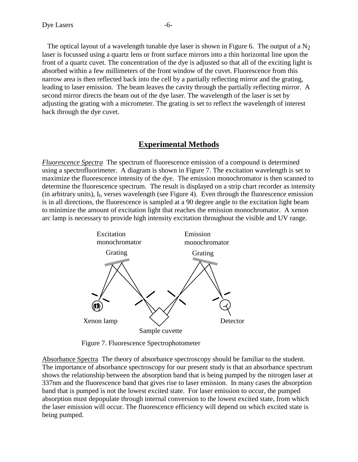back through the dye cuvet.

The optical layout of a wavelength tunable dye laser is shown in Figure 6. The output of a  $N_2$ laser is focussed using a quartz lens or front surface mirrors into a thin horizontal line upon the front of a quartz cuvet. The concentration of the dye is adjusted so that all of the exciting light is absorbed within a few millimeters of the front window of the cuvet. Fluorescence from this narrow area is then reflected back into the cell by a partially reflecting mirror and the grating, leading to laser emission. The beam leaves the cavity through the partially reflecting mirror. A second mirror directs the beam out of the dye laser. The wavelength of the laser is set by adjusting the grating with a micrometer. The grating is set to reflect the wavelength of interest

## **Experimental Methods**

*Fluorescence Spectra* The spectrum of fluorescence emission of a compound is determined using a spectrofluorimeter. A diagram is shown in Figure 7. The excitation wavelength is set to maximize the fluorescence intensity of the dye. The emission monochromator is then scanned to determine the fluorescence spectrum. The result is displayed on a strip chart recorder as intensity (in arbitrary units),  $I_f$ , verses wavelength (see Figure 4). Even through the fluorescence emission is in all directions, the fluorescence is sampled at a 90 degree angle to the excitation light beam to minimize the amount of excitation light that reaches the emission monochromator. A xenon arc lamp is necessary to provide high intensity excitation throughout the visible and UV range.



Figure 7. Fluorescence Spectrophotometer

Absorbance Spectra The theory of absorbance spectroscopy should be familiar to the student. The importance of absorbance spectroscopy for our present study is that an absorbance spectrum shows the relationship between the absorption band that is being pumped by the nitrogen laser at 337nm and the fluorescence band that gives rise to laser emission. In many cases the absorption band that is pumped is not the lowest excited state. For laser emission to occur, the pumped absorption must depopulate through internal conversion to the lowest excited state, from which the laser emission will occur. The fluorescence efficiency will depend on which excited state is being pumped.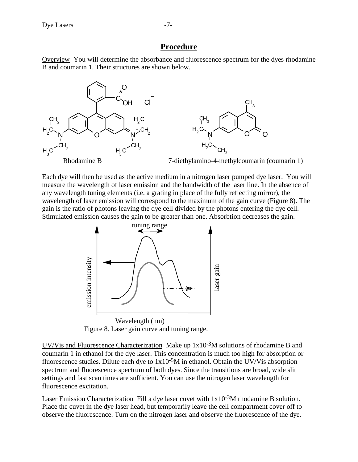# **Procedure**

Overview You will determine the absorbance and fluorescence spectrum for the dyes rhodamine B and coumarin 1. Their structures are shown below.



Each dye will then be used as the active medium in a nitrogen laser pumped dye laser. You will measure the wavelength of laser emission and the bandwidth of the laser line. In the absence of any wavelength tuning elements (i.e. a grating in place of the fully reflecting mirror), the wavelength of laser emission will correspond to the maximum of the gain curve (Figure 8). The gain is the ratio of photons leaving the dye cell divided by the photons entering the dye cell. Stimulated emission causes the gain to be greater than one. Absorbtion decreases the gain.



Figure 8. Laser gain curve and tuning range.

UV/Vis and Fluorescence Characterization Make up 1x10-3M solutions of rhodamine B and coumarin 1 in ethanol for the dye laser. This concentration is much too high for absorption or fluorescence studies. Dilute each dye to  $1x10^{-5}M$  in ethanol. Obtain the UV/V is absorption spectrum and fluorescence spectrum of both dyes. Since the transitions are broad, wide slit settings and fast scan times are sufficient. You can use the nitrogen laser wavelength for fluorescence excitation.

Laser Emission Characterization Fill a dye laser cuvet with  $1x10^{-3}M$  rhodamine B solution. Place the cuvet in the dye laser head, but temporarily leave the cell compartment cover off to observe the fluorescence. Turn on the nitrogen laser and observe the fluorescence of the dye.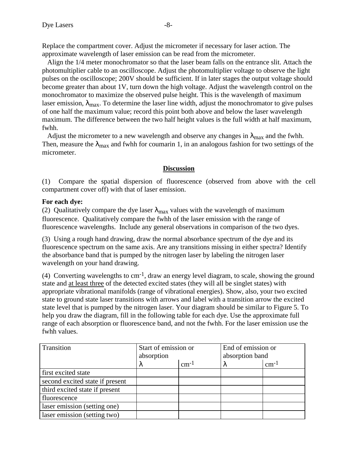Replace the compartment cover. Adjust the micrometer if necessary for laser action. The approximate wavelength of laser emission can be read from the micrometer.

 Align the 1/4 meter monochromator so that the laser beam falls on the entrance slit. Attach the photomultiplier cable to an oscilloscope. Adjust the photomultiplier voltage to observe the light pulses on the oscilloscope; 200V should be sufficient. If in later stages the output voltage should become greater than about 1V, turn down the high voltage. Adjust the wavelength control on the monochromator to maximize the observed pulse height. This is the wavelength of maximum laser emission,  $\lambda_{\text{max}}$ . To determine the laser line width, adjust the monochromator to give pulses of one half the maximum value; record this point both above and below the laser wavelength maximum. The difference between the two half height values is the full width at half maximum, fwhh.

Adjust the micrometer to a new wavelength and observe any changes in  $\lambda_{\text{max}}$  and the fwhh. Then, measure the  $\lambda_{\text{max}}$  and fwhh for coumarin 1, in an analogous fashion for two settings of the micrometer.

## **Discussion**

(1) Compare the spatial dispersion of fluorescence (observed from above with the cell compartment cover off) with that of laser emission.

## **For each dye:**

(2) Qualitatively compare the dye laser  $\lambda_{\text{max}}$  values with the wavelength of maximum fluorescence. Qualitatively compare the fwhh of the laser emission with the range of fluorescence wavelengths. Include any general observations in comparison of the two dyes.

(3) Using a rough hand drawing, draw the normal absorbance spectrum of the dye and its fluorescence spectrum on the same axis. Are any transitions missing in either spectra? Identify the absorbance band that is pumped by the nitrogen laser by labeling the nitrogen laser wavelength on your hand drawing.

(4) Converting wavelengths to cm-1, draw an energy level diagram, to scale, showing the ground state and at least three of the detected excited states (they will all be singlet states) with appropriate vibrational manifolds (range of vibrational energies). Show, also, your two excited state to ground state laser transitions with arrows and label with a transition arrow the excited state level that is pumped by the nitrogen laser. Your diagram should be similar to Figure 5. To help you draw the diagram, fill in the following table for each dye. Use the approximate full range of each absorption or fluorescence band, and not the fwhh. For the laser emission use the fwhh values.

| Transition                      | Start of emission or<br>absorption |               | End of emission or<br>absorption band |               |
|---------------------------------|------------------------------------|---------------|---------------------------------------|---------------|
|                                 | Λ                                  | $\rm cm^{-1}$ | Λ                                     | $\rm cm^{-1}$ |
| first excited state             |                                    |               |                                       |               |
| second excited state if present |                                    |               |                                       |               |
| third excited state if present  |                                    |               |                                       |               |
| fluorescence                    |                                    |               |                                       |               |
| laser emission (setting one)    |                                    |               |                                       |               |
| laser emission (setting two)    |                                    |               |                                       |               |